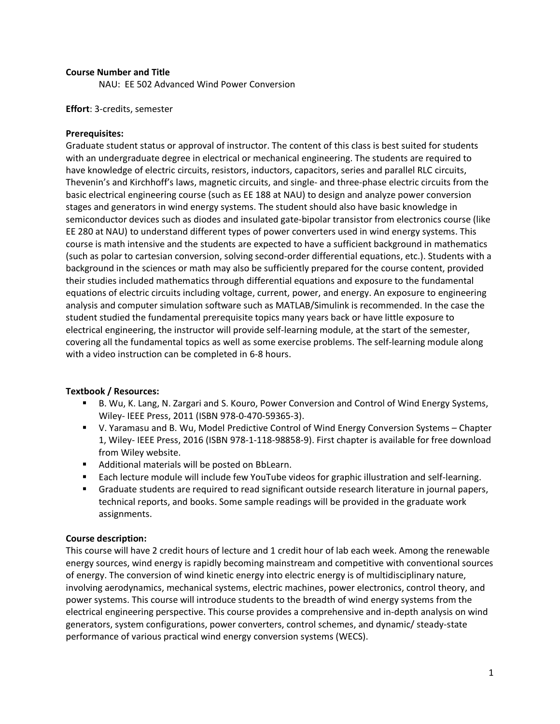#### **Course Number and Title**

NAU: EE 502 Advanced Wind Power Conversion

**Effort**: 3-credits, semester

### **Prerequisites:**

Graduate student status or approval of instructor. The content of this class is best suited for students with an undergraduate degree in electrical or mechanical engineering. The students are required to have knowledge of electric circuits, resistors, inductors, capacitors, series and parallel RLC circuits, Thevenin's and Kirchhoff's laws, magnetic circuits, and single- and three-phase electric circuits from the basic electrical engineering course (such as EE 188 at NAU) to design and analyze power conversion stages and generators in wind energy systems. The student should also have basic knowledge in semiconductor devices such as diodes and insulated gate-bipolar transistor from electronics course (like EE 280 at NAU) to understand different types of power converters used in wind energy systems. This course is math intensive and the students are expected to have a sufficient background in mathematics (such as polar to cartesian conversion, solving second-order differential equations, etc.). Students with a background in the sciences or math may also be sufficiently prepared for the course content, provided their studies included mathematics through differential equations and exposure to the fundamental equations of electric circuits including voltage, current, power, and energy. An exposure to engineering analysis and computer simulation software such as MATLAB/Simulink is recommended. In the case the student studied the fundamental prerequisite topics many years back or have little exposure to electrical engineering, the instructor will provide self-learning module, at the start of the semester, covering all the fundamental topics as well as some exercise problems. The self-learning module along with a video instruction can be completed in 6-8 hours.

### **Textbook / Resources:**

- B. Wu, K. Lang, N. Zargari and S. Kouro, Power Conversion and Control of Wind Energy Systems, Wiley- IEEE Press, 2011 (ISBN 978-0-470-59365-3).
- V. Yaramasu and B. Wu, Model Predictive Control of Wind Energy Conversion Systems Chapter 1, Wiley- IEEE Press, 2016 (ISBN 978-1-118-98858-9). First chapter is available for free download from Wiley website.
- Additional materials will be posted on BbLearn.
- **Each lecture module will include few YouTube videos for graphic illustration and self-learning.**
- Graduate students are required to read significant outside research literature in journal papers, technical reports, and books. Some sample readings will be provided in the graduate work assignments.

#### **Course description:**

This course will have 2 credit hours of lecture and 1 credit hour of lab each week. Among the renewable energy sources, wind energy is rapidly becoming mainstream and competitive with conventional sources of energy. The conversion of wind kinetic energy into electric energy is of multidisciplinary nature, involving aerodynamics, mechanical systems, electric machines, power electronics, control theory, and power systems. This course will introduce students to the breadth of wind energy systems from the electrical engineering perspective. This course provides a comprehensive and in-depth analysis on wind generators, system configurations, power converters, control schemes, and dynamic/ steady-state performance of various practical wind energy conversion systems (WECS).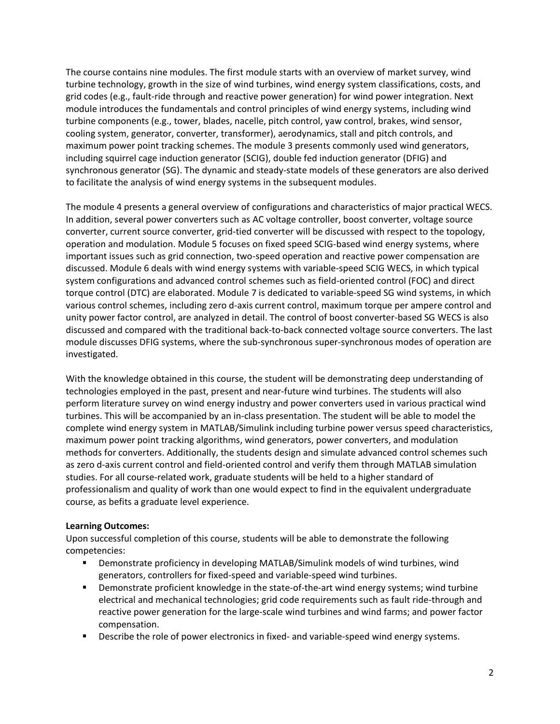The course contains nine modules. The first module starts with an overview of market survey, wind turbine technology, growth in the size of wind turbines, wind energy system classifications, costs, and grid codes (e.g., fault-ride through and reactive power generation) for wind power integration. Next module introduces the fundamentals and control principles of wind energy systems, including wind turbine components (e.g., tower, blades, nacelle, pitch control, yaw control, brakes, wind sensor, cooling system, generator, converter, transformer), aerodynamics, stall and pitch controls, and maximum power point tracking schemes. The module 3 presents commonly used wind generators, including squirrel cage induction generator (SCIG), double fed induction generator (DFIG) and synchronous generator (SG). The dynamic and steady-state models of these generators are also derived to facilitate the analysis of wind energy systems in the subsequent modules.

The module 4 presents a general overview of configurations and characteristics of major practical WECS. In addition, several power converters such as AC voltage controller, boost converter, voltage source converter, current source converter, grid-tied converter will be discussed with respect to the topology, operation and modulation. Module 5 focuses on fixed speed SCIG-based wind energy systems, where important issues such as grid connection, two-speed operation and reactive power compensation are discussed. Module 6 deals with wind energy systems with variable-speed SCIG WECS, in which typical system configurations and advanced control schemes such as field-oriented control (FOC) and direct torque control (DTC) are elaborated. Module 7 is dedicated to variable-speed SG wind systems, in which various control schemes, including zero d-axis current control, maximum torque per ampere control and unity power factor control, are analyzed in detail. The control of boost converter-based SG WECS is also discussed and compared with the traditional back-to-back connected voltage source converters. The last module discusses DFIG systems, where the sub-synchronous super-synchronous modes of operation are investigated.

With the knowledge obtained in this course, the student will be demonstrating deep understanding of technologies employed in the past, present and near-future wind turbines. The students will also perform literature survey on wind energy industry and power converters used in various practical wind turbines. This will be accompanied by an in-class presentation. The student will be able to model the complete wind energy system in MATLAB/Simulink including turbine power versus speed characteristics, maximum power point tracking algorithms, wind generators, power converters, and modulation methods for converters. Additionally, the students design and simulate advanced control schemes such as zero d-axis current control and field-oriented control and verify them through MATLAB simulation studies. For all course-related work, graduate students will be held to a higher standard of professionalism and quality of work than one would expect to find in the equivalent undergraduate course, as befits a graduate level experience.

### **Learning Outcomes:**

Upon successful completion of this course, students will be able to demonstrate the following competencies:

- Demonstrate proficiency in developing MATLAB/Simulink models of wind turbines, wind generators, controllers for fixed-speed and variable-speed wind turbines.
- Demonstrate proficient knowledge in the state-of-the-art wind energy systems; wind turbine electrical and mechanical technologies; grid code requirements such as fault ride-through and reactive power generation for the large-scale wind turbines and wind farms; and power factor compensation.
- **Describe the role of power electronics in fixed- and variable-speed wind energy systems.**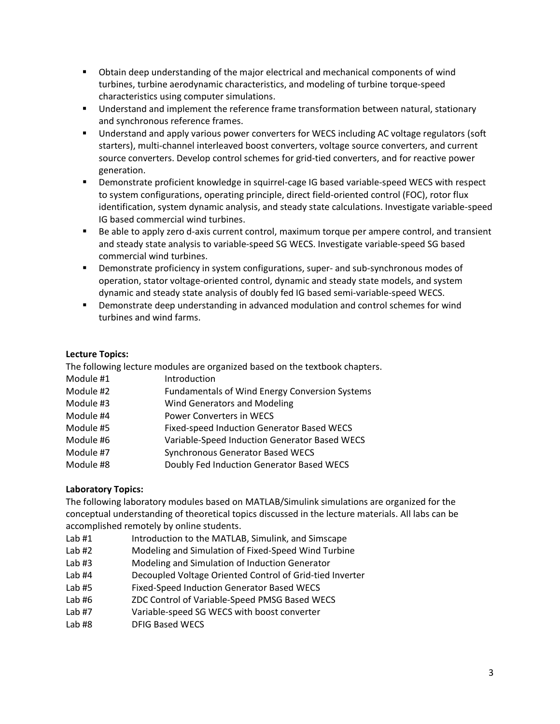- Obtain deep understanding of the major electrical and mechanical components of wind turbines, turbine aerodynamic characteristics, and modeling of turbine torque-speed characteristics using computer simulations.
- Understand and implement the reference frame transformation between natural, stationary and synchronous reference frames.
- Understand and apply various power converters for WECS including AC voltage regulators (soft starters), multi-channel interleaved boost converters, voltage source converters, and current source converters. Develop control schemes for grid-tied converters, and for reactive power generation.
- Demonstrate proficient knowledge in squirrel-cage IG based variable-speed WECS with respect to system configurations, operating principle, direct field-oriented control (FOC), rotor flux identification, system dynamic analysis, and steady state calculations. Investigate variable-speed IG based commercial wind turbines.
- Be able to apply zero d-axis current control, maximum torque per ampere control, and transient and steady state analysis to variable-speed SG WECS. Investigate variable-speed SG based commercial wind turbines.
- Demonstrate proficiency in system configurations, super- and sub-synchronous modes of operation, stator voltage-oriented control, dynamic and steady state models, and system dynamic and steady state analysis of doubly fed IG based semi-variable-speed WECS.
- Demonstrate deep understanding in advanced modulation and control schemes for wind turbines and wind farms.

# **Lecture Topics:**

The following lecture modules are organized based on the textbook chapters. Module #1 Introduction Module #2 Fundamentals of Wind Energy Conversion Systems Module #3 Wind Generators and Modeling Module #4 Power Converters in WECS Module #5 Fixed-speed Induction Generator Based WECS Module #6 Variable-Speed Induction Generator Based WECS Module #7 Synchronous Generator Based WECS

Module #8 Doubly Fed Induction Generator Based WECS

# **Laboratory Topics:**

The following laboratory modules based on MATLAB/Simulink simulations are organized for the conceptual understanding of theoretical topics discussed in the lecture materials. All labs can be accomplished remotely by online students.

- Lab #1 Introduction to the MATLAB, Simulink, and Simscape
- Lab #2 Modeling and Simulation of Fixed-Speed Wind Turbine
- Lab #3 Modeling and Simulation of Induction Generator
- Lab #4 Decoupled Voltage Oriented Control of Grid-tied Inverter
- Lab #5 Fixed-Speed Induction Generator Based WECS
- Lab #6 ZDC Control of Variable-Speed PMSG Based WECS
- Lab #7 Variable-speed SG WECS with boost converter
- Lab #8 DFIG Based WECS